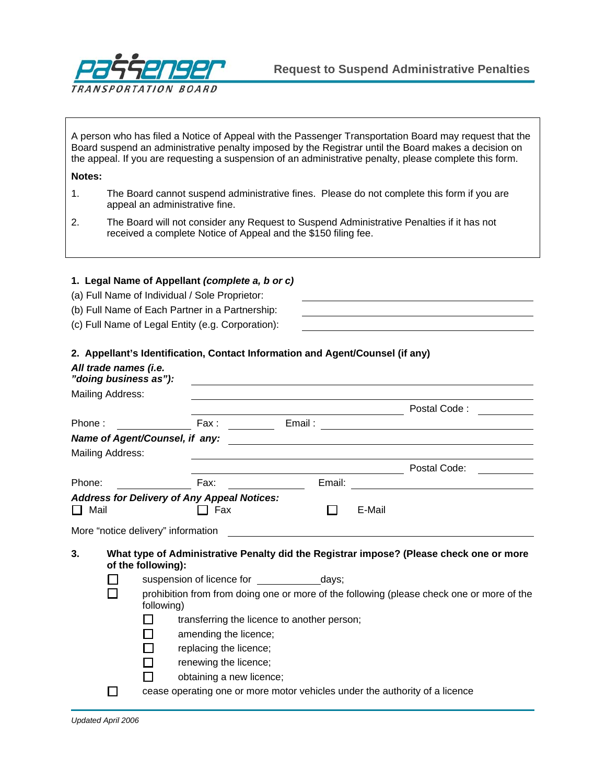

A person who has filed a Notice of Appeal with the Passenger Transportation Board may request that the Board suspend an administrative penalty imposed by the Registrar until the Board makes a decision on the appeal. If you are requesting a suspension of an administrative penalty, please complete this form.

## **Notes:**

- 1. The Board cannot suspend administrative fines. Please do not complete this form if you are appeal an administrative fine.
- 2. The Board will not consider any Request to Suspend Administrative Penalties if it has not received a complete Notice of Appeal and the \$150 filing fee.

## **1. Legal Name of Appellant** *(complete a, b or c)*

- (a) Full Name of Individual / Sole Proprietor:
- (b) Full Name of Each Partner in a Partnership:
- (c) Full Name of Legal Entity (e.g. Corporation):

## **2. Appellant's Identification, Contact Information and Agent/Counsel (if any)**

|                                                                   | All trade names (i.e.<br>"doing business as"):                                                          |                                                                                                               |                          |                                                                                                                       |        |                                                                             |  |  |
|-------------------------------------------------------------------|---------------------------------------------------------------------------------------------------------|---------------------------------------------------------------------------------------------------------------|--------------------------|-----------------------------------------------------------------------------------------------------------------------|--------|-----------------------------------------------------------------------------|--|--|
|                                                                   | Mailing Address:                                                                                        |                                                                                                               |                          |                                                                                                                       |        |                                                                             |  |  |
|                                                                   |                                                                                                         |                                                                                                               |                          | <u> Alexandria de la contexta de la contexta de la contexta de la contexta de la contexta de la contexta de la co</u> |        | Postal Code:                                                                |  |  |
| Phone:                                                            |                                                                                                         |                                                                                                               |                          |                                                                                                                       |        |                                                                             |  |  |
|                                                                   |                                                                                                         |                                                                                                               |                          |                                                                                                                       |        |                                                                             |  |  |
|                                                                   | Mailing Address:                                                                                        |                                                                                                               |                          |                                                                                                                       |        |                                                                             |  |  |
|                                                                   |                                                                                                         |                                                                                                               |                          |                                                                                                                       |        | Postal Code:                                                                |  |  |
| Phone:                                                            |                                                                                                         |                                                                                                               | Fax:                     |                                                                                                                       |        | Email: <u>_________________________</u>                                     |  |  |
| <b>Address for Delivery of Any Appeal Notices:</b><br>Mail<br>1 L |                                                                                                         |                                                                                                               | Fax                      |                                                                                                                       | E-Mail |                                                                             |  |  |
|                                                                   |                                                                                                         | More "notice delivery" information                                                                            |                          |                                                                                                                       |        |                                                                             |  |  |
| 3.                                                                |                                                                                                         | What type of Administrative Penalty did the Registrar impose? (Please check one or more<br>of the following): |                          |                                                                                                                       |        |                                                                             |  |  |
|                                                                   |                                                                                                         |                                                                                                               |                          | suspension of licence for the days;                                                                                   |        |                                                                             |  |  |
|                                                                   | prohibition from from doing one or more of the following (please check one or more of the<br>following) |                                                                                                               |                          |                                                                                                                       |        |                                                                             |  |  |
|                                                                   |                                                                                                         |                                                                                                               |                          | transferring the licence to another person;                                                                           |        |                                                                             |  |  |
|                                                                   |                                                                                                         |                                                                                                               | amending the licence;    |                                                                                                                       |        |                                                                             |  |  |
|                                                                   |                                                                                                         |                                                                                                               | replacing the licence;   |                                                                                                                       |        |                                                                             |  |  |
|                                                                   |                                                                                                         |                                                                                                               | renewing the licence;    |                                                                                                                       |        |                                                                             |  |  |
|                                                                   |                                                                                                         |                                                                                                               | obtaining a new licence; |                                                                                                                       |        |                                                                             |  |  |
|                                                                   |                                                                                                         |                                                                                                               |                          |                                                                                                                       |        | cease operating one or more motor vehicles under the authority of a licence |  |  |